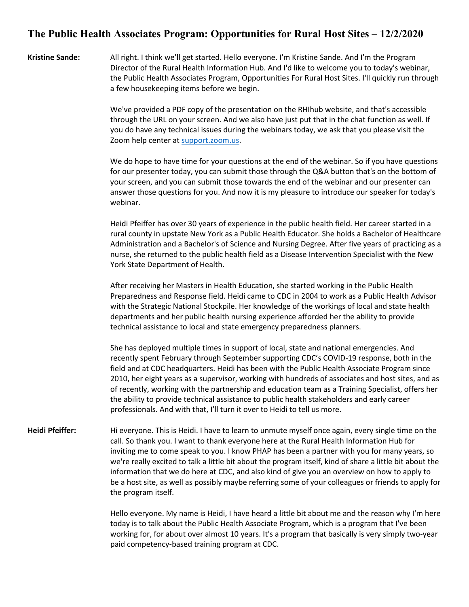## **The Public Health Associates Program: Opportunities for Rural Host Sites – 12/2/2020**

**Kristine Sande:** All right. I think we'll get started. Hello everyone. I'm Kristine Sande. And I'm the Program Director of the Rural Health Information Hub. And I'd like to welcome you to today's webinar, the Public Health Associates Program, Opportunities For Rural Host Sites. I'll quickly run through a few housekeeping items before we begin.

> We've provided a PDF copy of the presentation on the RHIhub website, and that's accessible through the URL on your screen. And we also have just put that in the chat function as well. If you do have any technical issues during the webinars today, we ask that you please visit the Zoom help center at [support.zoom.us.](https://support.zoom.us/hc/en-us)

We do hope to have time for your questions at the end of the webinar. So if you have questions for our presenter today, you can submit those through the Q&A button that's on the bottom of your screen, and you can submit those towards the end of the webinar and our presenter can answer those questions for you. And now it is my pleasure to introduce our speaker for today's webinar.

Heidi Pfeiffer has over 30 years of experience in the public health field. Her career started in a rural county in upstate New York as a Public Health Educator. She holds a Bachelor of Healthcare Administration and a Bachelor's of Science and Nursing Degree. After five years of practicing as a nurse, she returned to the public health field as a Disease Intervention Specialist with the New York State Department of Health.

After receiving her Masters in Health Education, she started working in the Public Health Preparedness and Response field. Heidi came to CDC in 2004 to work as a Public Health Advisor with the Strategic National Stockpile. Her knowledge of the workings of local and state health departments and her public health nursing experience afforded her the ability to provide technical assistance to local and state emergency preparedness planners.

She has deployed multiple times in support of local, state and national emergencies. And recently spent February through September supporting CDC's COVID-19 response, both in the field and at CDC headquarters. Heidi has been with the Public Health Associate Program since 2010, her eight years as a supervisor, working with hundreds of associates and host sites, and as of recently, working with the partnership and education team as a Training Specialist, offers her the ability to provide technical assistance to public health stakeholders and early career professionals. And with that, I'll turn it over to Heidi to tell us more.

**Heidi Pfeiffer:** Hi everyone. This is Heidi. I have to learn to unmute myself once again, every single time on the call. So thank you. I want to thank everyone here at the Rural Health Information Hub for inviting me to come speak to you. I know PHAP has been a partner with you for many years, so we're really excited to talk a little bit about the program itself, kind of share a little bit about the information that we do here at CDC, and also kind of give you an overview on how to apply to be a host site, as well as possibly maybe referring some of your colleagues or friends to apply for the program itself.

> Hello everyone. My name is Heidi, I have heard a little bit about me and the reason why I'm here today is to talk about the Public Health Associate Program, which is a program that I've been working for, for about over almost 10 years. It's a program that basically is very simply two-year paid competency-based training program at CDC.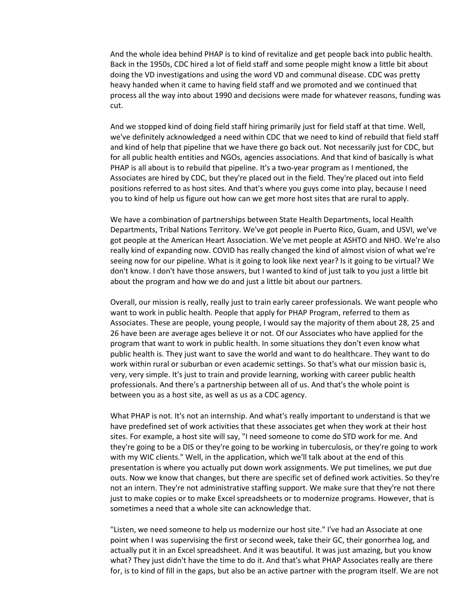And the whole idea behind PHAP is to kind of revitalize and get people back into public health. Back in the 1950s, CDC hired a lot of field staff and some people might know a little bit about doing the VD investigations and using the word VD and communal disease. CDC was pretty heavy handed when it came to having field staff and we promoted and we continued that process all the way into about 1990 and decisions were made for whatever reasons, funding was cut.

And we stopped kind of doing field staff hiring primarily just for field staff at that time. Well, we've definitely acknowledged a need within CDC that we need to kind of rebuild that field staff and kind of help that pipeline that we have there go back out. Not necessarily just for CDC, but for all public health entities and NGOs, agencies associations. And that kind of basically is what PHAP is all about is to rebuild that pipeline. It's a two-year program as I mentioned, the Associates are hired by CDC, but they're placed out in the field. They're placed out into field positions referred to as host sites. And that's where you guys come into play, because I need you to kind of help us figure out how can we get more host sites that are rural to apply.

We have a combination of partnerships between State Health Departments, local Health Departments, Tribal Nations Territory. We've got people in Puerto Rico, Guam, and USVI, we've got people at the American Heart Association. We've met people at ASHTO and NHO. We're also really kind of expanding now. COVID has really changed the kind of almost vision of what we're seeing now for our pipeline. What is it going to look like next year? Is it going to be virtual? We don't know. I don't have those answers, but I wanted to kind of just talk to you just a little bit about the program and how we do and just a little bit about our partners.

Overall, our mission is really, really just to train early career professionals. We want people who want to work in public health. People that apply for PHAP Program, referred to them as Associates. These are people, young people, I would say the majority of them about 28, 25 and 26 have been are average ages believe it or not. Of our Associates who have applied for the program that want to work in public health. In some situations they don't even know what public health is. They just want to save the world and want to do healthcare. They want to do work within rural or suburban or even academic settings. So that's what our mission basic is, very, very simple. It's just to train and provide learning, working with career public health professionals. And there's a partnership between all of us. And that's the whole point is between you as a host site, as well as us as a CDC agency.

What PHAP is not. It's not an internship. And what's really important to understand is that we have predefined set of work activities that these associates get when they work at their host sites. For example, a host site will say, "I need someone to come do STD work for me. And they're going to be a DIS or they're going to be working in tuberculosis, or they're going to work with my WIC clients." Well, in the application, which we'll talk about at the end of this presentation is where you actually put down work assignments. We put timelines, we put due outs. Now we know that changes, but there are specific set of defined work activities. So they're not an intern. They're not administrative staffing support. We make sure that they're not there just to make copies or to make Excel spreadsheets or to modernize programs. However, that is sometimes a need that a whole site can acknowledge that.

"Listen, we need someone to help us modernize our host site." I've had an Associate at one point when I was supervising the first or second week, take their GC, their gonorrhea log, and actually put it in an Excel spreadsheet. And it was beautiful. It was just amazing, but you know what? They just didn't have the time to do it. And that's what PHAP Associates really are there for, is to kind of fill in the gaps, but also be an active partner with the program itself. We are not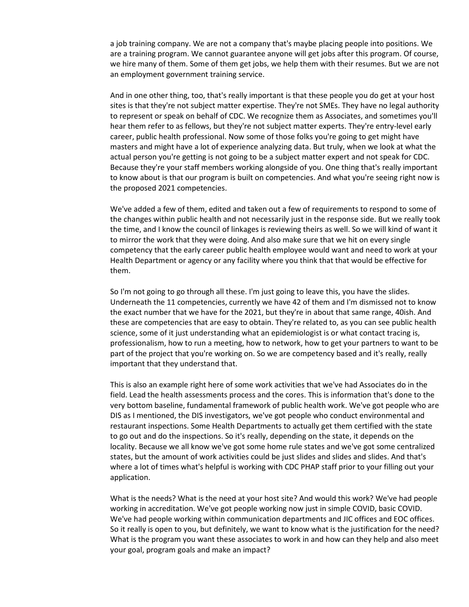a job training company. We are not a company that's maybe placing people into positions. We are a training program. We cannot guarantee anyone will get jobs after this program. Of course, we hire many of them. Some of them get jobs, we help them with their resumes. But we are not an employment government training service.

And in one other thing, too, that's really important is that these people you do get at your host sites is that they're not subject matter expertise. They're not SMEs. They have no legal authority to represent or speak on behalf of CDC. We recognize them as Associates, and sometimes you'll hear them refer to as fellows, but they're not subject matter experts. They're entry-level early career, public health professional. Now some of those folks you're going to get might have masters and might have a lot of experience analyzing data. But truly, when we look at what the actual person you're getting is not going to be a subject matter expert and not speak for CDC. Because they're your staff members working alongside of you. One thing that's really important to know about is that our program is built on competencies. And what you're seeing right now is the proposed 2021 competencies.

We've added a few of them, edited and taken out a few of requirements to respond to some of the changes within public health and not necessarily just in the response side. But we really took the time, and I know the council of linkages is reviewing theirs as well. So we will kind of want it to mirror the work that they were doing. And also make sure that we hit on every single competency that the early career public health employee would want and need to work at your Health Department or agency or any facility where you think that that would be effective for them.

So I'm not going to go through all these. I'm just going to leave this, you have the slides. Underneath the 11 competencies, currently we have 42 of them and I'm dismissed not to know the exact number that we have for the 2021, but they're in about that same range, 40ish. And these are competencies that are easy to obtain. They're related to, as you can see public health science, some of it just understanding what an epidemiologist is or what contact tracing is, professionalism, how to run a meeting, how to network, how to get your partners to want to be part of the project that you're working on. So we are competency based and it's really, really important that they understand that.

This is also an example right here of some work activities that we've had Associates do in the field. Lead the health assessments process and the cores. This is information that's done to the very bottom baseline, fundamental framework of public health work. We've got people who are DIS as I mentioned, the DIS investigators, we've got people who conduct environmental and restaurant inspections. Some Health Departments to actually get them certified with the state to go out and do the inspections. So it's really, depending on the state, it depends on the locality. Because we all know we've got some home rule states and we've got some centralized states, but the amount of work activities could be just slides and slides and slides. And that's where a lot of times what's helpful is working with CDC PHAP staff prior to your filling out your application.

What is the needs? What is the need at your host site? And would this work? We've had people working in accreditation. We've got people working now just in simple COVID, basic COVID. We've had people working within communication departments and JIC offices and EOC offices. So it really is open to you, but definitely, we want to know what is the justification for the need? What is the program you want these associates to work in and how can they help and also meet your goal, program goals and make an impact?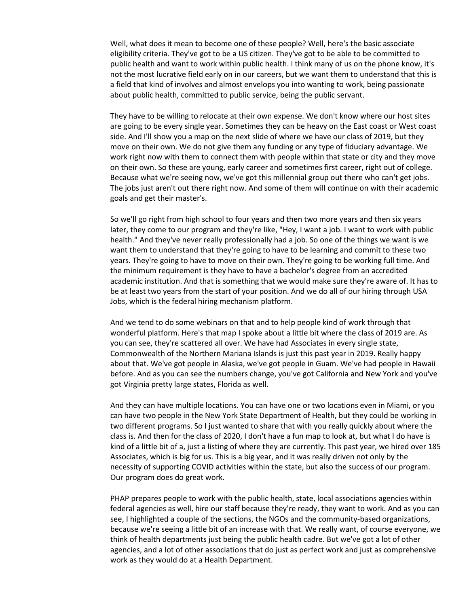Well, what does it mean to become one of these people? Well, here's the basic associate eligibility criteria. They've got to be a US citizen. They've got to be able to be committed to public health and want to work within public health. I think many of us on the phone know, it's not the most lucrative field early on in our careers, but we want them to understand that this is a field that kind of involves and almost envelops you into wanting to work, being passionate about public health, committed to public service, being the public servant.

They have to be willing to relocate at their own expense. We don't know where our host sites are going to be every single year. Sometimes they can be heavy on the East coast or West coast side. And I'll show you a map on the next slide of where we have our class of 2019, but they move on their own. We do not give them any funding or any type of fiduciary advantage. We work right now with them to connect them with people within that state or city and they move on their own. So these are young, early career and sometimes first career, right out of college. Because what we're seeing now, we've got this millennial group out there who can't get jobs. The jobs just aren't out there right now. And some of them will continue on with their academic goals and get their master's.

So we'll go right from high school to four years and then two more years and then six years later, they come to our program and they're like, "Hey, I want a job. I want to work with public health." And they've never really professionally had a job. So one of the things we want is we want them to understand that they're going to have to be learning and commit to these two years. They're going to have to move on their own. They're going to be working full time. And the minimum requirement is they have to have a bachelor's degree from an accredited academic institution. And that is something that we would make sure they're aware of. It has to be at least two years from the start of your position. And we do all of our hiring through USA Jobs, which is the federal hiring mechanism platform.

And we tend to do some webinars on that and to help people kind of work through that wonderful platform. Here's that map I spoke about a little bit where the class of 2019 are. As you can see, they're scattered all over. We have had Associates in every single state, Commonwealth of the Northern Mariana Islands is just this past year in 2019. Really happy about that. We've got people in Alaska, we've got people in Guam. We've had people in Hawaii before. And as you can see the numbers change, you've got California and New York and you've got Virginia pretty large states, Florida as well.

And they can have multiple locations. You can have one or two locations even in Miami, or you can have two people in the New York State Department of Health, but they could be working in two different programs. So I just wanted to share that with you really quickly about where the class is. And then for the class of 2020, I don't have a fun map to look at, but what I do have is kind of a little bit of a, just a listing of where they are currently. This past year, we hired over 185 Associates, which is big for us. This is a big year, and it was really driven not only by the necessity of supporting COVID activities within the state, but also the success of our program. Our program does do great work.

PHAP prepares people to work with the public health, state, local associations agencies within federal agencies as well, hire our staff because they're ready, they want to work. And as you can see, I highlighted a couple of the sections, the NGOs and the community-based organizations, because we're seeing a little bit of an increase with that. We really want, of course everyone, we think of health departments just being the public health cadre. But we've got a lot of other agencies, and a lot of other associations that do just as perfect work and just as comprehensive work as they would do at a Health Department.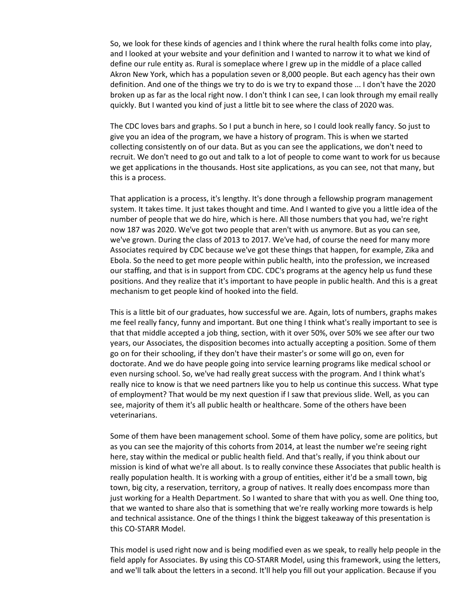So, we look for these kinds of agencies and I think where the rural health folks come into play, and I looked at your website and your definition and I wanted to narrow it to what we kind of define our rule entity as. Rural is someplace where I grew up in the middle of a place called Akron New York, which has a population seven or 8,000 people. But each agency has their own definition. And one of the things we try to do is we try to expand those ... I don't have the 2020 broken up as far as the local right now. I don't think I can see, I can look through my email really quickly. But I wanted you kind of just a little bit to see where the class of 2020 was.

The CDC loves bars and graphs. So I put a bunch in here, so I could look really fancy. So just to give you an idea of the program, we have a history of program. This is when we started collecting consistently on of our data. But as you can see the applications, we don't need to recruit. We don't need to go out and talk to a lot of people to come want to work for us because we get applications in the thousands. Host site applications, as you can see, not that many, but this is a process.

That application is a process, it's lengthy. It's done through a fellowship program management system. It takes time. It just takes thought and time. And I wanted to give you a little idea of the number of people that we do hire, which is here. All those numbers that you had, we're right now 187 was 2020. We've got two people that aren't with us anymore. But as you can see, we've grown. During the class of 2013 to 2017. We've had, of course the need for many more Associates required by CDC because we've got these things that happen, for example, Zika and Ebola. So the need to get more people within public health, into the profession, we increased our staffing, and that is in support from CDC. CDC's programs at the agency help us fund these positions. And they realize that it's important to have people in public health. And this is a great mechanism to get people kind of hooked into the field.

This is a little bit of our graduates, how successful we are. Again, lots of numbers, graphs makes me feel really fancy, funny and important. But one thing I think what's really important to see is that that middle accepted a job thing, section, with it over 50%, over 50% we see after our two years, our Associates, the disposition becomes into actually accepting a position. Some of them go on for their schooling, if they don't have their master's or some will go on, even for doctorate. And we do have people going into service learning programs like medical school or even nursing school. So, we've had really great success with the program. And I think what's really nice to know is that we need partners like you to help us continue this success. What type of employment? That would be my next question if I saw that previous slide. Well, as you can see, majority of them it's all public health or healthcare. Some of the others have been veterinarians.

Some of them have been management school. Some of them have policy, some are politics, but as you can see the majority of this cohorts from 2014, at least the number we're seeing right here, stay within the medical or public health field. And that's really, if you think about our mission is kind of what we're all about. Is to really convince these Associates that public health is really population health. It is working with a group of entities, either it'd be a small town, big town, big city, a reservation, territory, a group of natives. It really does encompass more than just working for a Health Department. So I wanted to share that with you as well. One thing too, that we wanted to share also that is something that we're really working more towards is help and technical assistance. One of the things I think the biggest takeaway of this presentation is this CO-STARR Model.

This model is used right now and is being modified even as we speak, to really help people in the field apply for Associates. By using this CO-STARR Model, using this framework, using the letters, and we'll talk about the letters in a second. It'll help you fill out your application. Because if you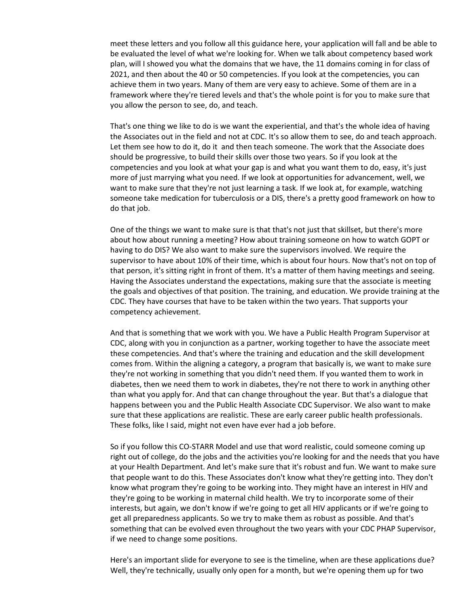meet these letters and you follow all this guidance here, your application will fall and be able to be evaluated the level of what we're looking for. When we talk about competency based work plan, will I showed you what the domains that we have, the 11 domains coming in for class of 2021, and then about the 40 or 50 competencies. If you look at the competencies, you can achieve them in two years. Many of them are very easy to achieve. Some of them are in a framework where they're tiered levels and that's the whole point is for you to make sure that you allow the person to see, do, and teach.

That's one thing we like to do is we want the experiential, and that's the whole idea of having the Associates out in the field and not at CDC. It's so allow them to see, do and teach approach. Let them see how to do it, do it and then teach someone. The work that the Associate does should be progressive, to build their skills over those two years. So if you look at the competencies and you look at what your gap is and what you want them to do, easy, it's just more of just marrying what you need. If we look at opportunities for advancement, well, we want to make sure that they're not just learning a task. If we look at, for example, watching someone take medication for tuberculosis or a DIS, there's a pretty good framework on how to do that job.

One of the things we want to make sure is that that's not just that skillset, but there's more about how about running a meeting? How about training someone on how to watch GOPT or having to do DIS? We also want to make sure the supervisors involved. We require the supervisor to have about 10% of their time, which is about four hours. Now that's not on top of that person, it's sitting right in front of them. It's a matter of them having meetings and seeing. Having the Associates understand the expectations, making sure that the associate is meeting the goals and objectives of that position. The training, and education. We provide training at the CDC. They have courses that have to be taken within the two years. That supports your competency achievement.

And that is something that we work with you. We have a Public Health Program Supervisor at CDC, along with you in conjunction as a partner, working together to have the associate meet these competencies. And that's where the training and education and the skill development comes from. Within the aligning a category, a program that basically is, we want to make sure they're not working in something that you didn't need them. If you wanted them to work in diabetes, then we need them to work in diabetes, they're not there to work in anything other than what you apply for. And that can change throughout the year. But that's a dialogue that happens between you and the Public Health Associate CDC Supervisor. We also want to make sure that these applications are realistic. These are early career public health professionals. These folks, like I said, might not even have ever had a job before.

So if you follow this CO-STARR Model and use that word realistic, could someone coming up right out of college, do the jobs and the activities you're looking for and the needs that you have at your Health Department. And let's make sure that it's robust and fun. We want to make sure that people want to do this. These Associates don't know what they're getting into. They don't know what program they're going to be working into. They might have an interest in HIV and they're going to be working in maternal child health. We try to incorporate some of their interests, but again, we don't know if we're going to get all HIV applicants or if we're going to get all preparedness applicants. So we try to make them as robust as possible. And that's something that can be evolved even throughout the two years with your CDC PHAP Supervisor, if we need to change some positions.

Here's an important slide for everyone to see is the timeline, when are these applications due? Well, they're technically, usually only open for a month, but we're opening them up for two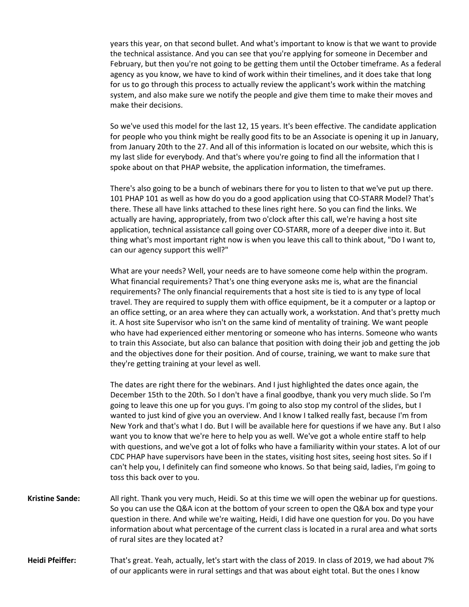years this year, on that second bullet. And what's important to know is that we want to provide the technical assistance. And you can see that you're applying for someone in December and February, but then you're not going to be getting them until the October timeframe. As a federal agency as you know, we have to kind of work within their timelines, and it does take that long for us to go through this process to actually review the applicant's work within the matching system, and also make sure we notify the people and give them time to make their moves and make their decisions.

So we've used this model for the last 12, 15 years. It's been effective. The candidate application for people who you think might be really good fits to be an Associate is opening it up in January, from January 20th to the 27. And all of this information is located on our website, which this is my last slide for everybody. And that's where you're going to find all the information that I spoke about on that PHAP website, the application information, the timeframes.

There's also going to be a bunch of webinars there for you to listen to that we've put up there. 101 PHAP 101 as well as how do you do a good application using that CO-STARR Model? That's there. These all have links attached to these lines right here. So you can find the links. We actually are having, appropriately, from two o'clock after this call, we're having a host site application, technical assistance call going over CO-STARR, more of a deeper dive into it. But thing what's most important right now is when you leave this call to think about, "Do I want to, can our agency support this well?"

What are your needs? Well, your needs are to have someone come help within the program. What financial requirements? That's one thing everyone asks me is, what are the financial requirements? The only financial requirements that a host site is tied to is any type of local travel. They are required to supply them with office equipment, be it a computer or a laptop or an office setting, or an area where they can actually work, a workstation. And that's pretty much it. A host site Supervisor who isn't on the same kind of mentality of training. We want people who have had experienced either mentoring or someone who has interns. Someone who wants to train this Associate, but also can balance that position with doing their job and getting the job and the objectives done for their position. And of course, training, we want to make sure that they're getting training at your level as well.

The dates are right there for the webinars. And I just highlighted the dates once again, the December 15th to the 20th. So I don't have a final goodbye, thank you very much slide. So I'm going to leave this one up for you guys. I'm going to also stop my control of the slides, but I wanted to just kind of give you an overview. And I know I talked really fast, because I'm from New York and that's what I do. But I will be available here for questions if we have any. But I also want you to know that we're here to help you as well. We've got a whole entire staff to help with questions, and we've got a lot of folks who have a familiarity within your states. A lot of our CDC PHAP have supervisors have been in the states, visiting host sites, seeing host sites. So if I can't help you, I definitely can find someone who knows. So that being said, ladies, I'm going to toss this back over to you.

- **Kristine Sande:** All right. Thank you very much, Heidi. So at this time we will open the webinar up for questions. So you can use the Q&A icon at the bottom of your screen to open the Q&A box and type your question in there. And while we're waiting, Heidi, I did have one question for you. Do you have information about what percentage of the current class is located in a rural area and what sorts of rural sites are they located at?
- **Heidi Pfeiffer:** That's great. Yeah, actually, let's start with the class of 2019. In class of 2019, we had about 7% of our applicants were in rural settings and that was about eight total. But the ones I know